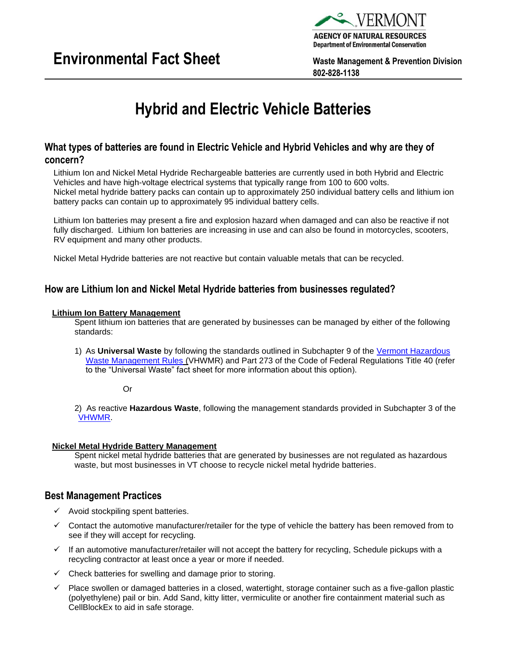



**802-828-1138**

# **Hybrid and Electric Vehicle Batteries**

# **What types of batteries are found in Electric Vehicle and Hybrid Vehicles and why are they of concern?**

Lithium Ion and Nickel Metal Hydride Rechargeable batteries are currently used in both Hybrid and Electric Vehicles and have high-voltage electrical systems that typically range from 100 to 600 volts. Nickel metal hydride battery packs can contain up to approximately 250 individual battery cells and lithium ion battery packs can contain up to approximately 95 individual battery cells.

Lithium Ion batteries may present a fire and explosion hazard when damaged and can also be reactive if not fully discharged. Lithium Ion batteries are increasing in use and can also be found in motorcycles, scooters, RV equipment and many other products.

Nickel Metal Hydride batteries are not reactive but contain valuable metals that can be recycled.

# **How are Lithium Ion and Nickel Metal Hydride batteries from businesses regulated?**

## **Lithium Ion Battery Management**

Spent lithium ion batteries that are generated by businesses can be managed by either of the following standards:

1) As **Universal Waste** by following the standards outlined in Subchapter 9 of the [Vermont Hazardous](https://dec.vermont.gov/sites/dec/files/wmp/HazWaste/Documents/Regulations/VHWMR_Sub9.pdf)  [Waste Management Rules](https://dec.vermont.gov/sites/dec/files/wmp/HazWaste/Documents/Regulations/VHWMR_Sub9.pdf) (VHWMR) and Part 273 of the Code of Federal Regulations Title 40 (refer to the "Universal Waste" fact sheet for more information about this option).

Or

2) As reactive **Hazardous Waste**, following the management standards provided in Subchapter 3 of the [VHWMR.](https://dec.vermont.gov/sites/dec/files/wmp/HazWaste/Documents/Regulations/VHWMR_Sub3.pdf)

## **Nickel Metal Hydride Battery Management**

Spent nickel metal hydride batteries that are generated by businesses are not regulated as hazardous waste, but most businesses in VT choose to recycle nickel metal hydride batteries.

## **Best Management Practices**

- $\checkmark$  Avoid stockpiling spent batteries.
- ✓ Contact the automotive manufacturer/retailer for the type of vehicle the battery has been removed from to see if they will accept for recycling.
- ✓ If an automotive manufacturer/retailer will not accept the battery for recycling, Schedule pickups with a recycling contractor at least once a year or more if needed.
- $\checkmark$  Check batteries for swelling and damage prior to storing.
- Place swollen or damaged batteries in a closed, watertight, storage container such as a five-gallon plastic (polyethylene) pail or bin. Add Sand, kitty litter, vermiculite or another fire containment material such as CellBlockEx to aid in safe storage.